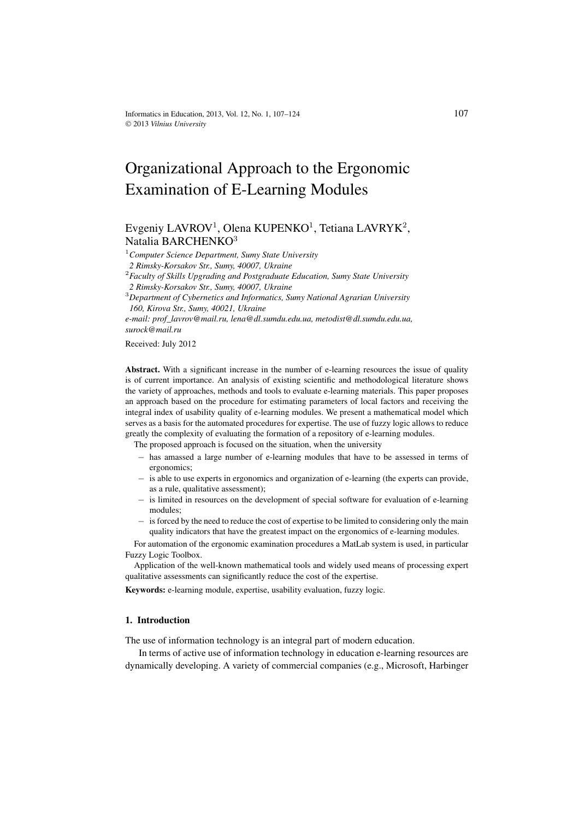# Organizational Approach to the Ergonomic Examination of E-Learning Modules

# Evgeniy LAVROV<sup>1</sup>, Olena KUPENKO<sup>1</sup>, Tetiana LAVRYK<sup>2</sup>, Natalia BARCHENKO<sup>3</sup>

<sup>1</sup>*Computer Science Department, Sumy State University*

*2 Rimsky-Korsakov Str., Sumy, 40007, Ukraine*

<sup>2</sup>*Faculty of Skills Upgrading and Postgraduate Education, Sumy State University 2 Rimsky-Korsakov Str., Sumy, 40007, Ukraine*

<sup>3</sup>*Department of Cybernetics and Informatics, Sumy National Agrarian University 160, Kirova Str., Sumy, 40021, Ukraine*

*e-mail: prof\_lavrov@mail.ru, lena@dl.sumdu.edu.ua, metodist@dl.sumdu.edu.ua, surock@mail.ru*

#### Received: July 2012

**Abstract.** With a significant increase in the number of e-learning resources the issue of quality is of current importance. An analysis of existing scientific and methodological literature shows the variety of approaches, methods and tools to evaluate e-learning materials. This paper proposes an approach based on the procedure for estimating parameters of local factors and receiving the integral index of usability quality of e-learning modules. We present a mathematical model which serves as a basis for the automated procedures for expertise. The use of fuzzy logic allows to reduce greatly the complexity of evaluating the formation of a repository of e-learning modules.

The proposed approach is focused on the situation, when the university

- − has amassed a large number of e-learning modules that have to be assessed in terms of ergonomics;
- − is able to use experts in ergonomics and organization of e-learning (the experts can provide, as a rule, qualitative assessment);
- − is limited in resources on the development of special software for evaluation of e-learning modules;
- − is forced by the need to reduce the cost of expertise to be limited to considering only the main quality indicators that have the greatest impact on the ergonomics of e-learning modules.

For automation of the ergonomic examination procedures a MatLab system is used, in particular Fuzzy Logic Toolbox.

Application of the well-known mathematical tools and widely used means of processing expert qualitative assessments can significantly reduce the cost of the expertise.

**Keywords:** e-learning module, expertise, usability evaluation, fuzzy logic.

#### **1. Introduction**

The use of information technology is an integral part of modern education.

In terms of active use of information technology in education e-learning resources are dynamically developing. A variety of commercial companies (e.g., Microsoft, Harbinger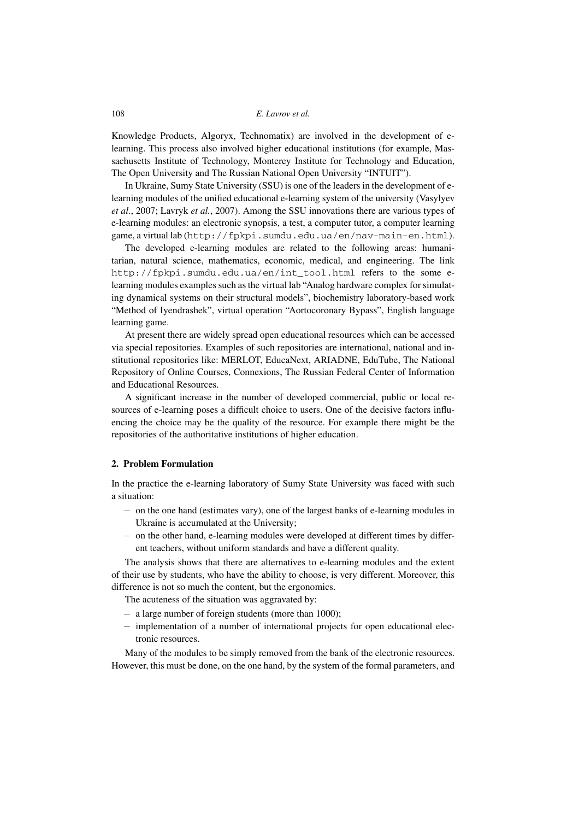Knowledge Products, Algoryx, Technomatix) are involved in the development of elearning. This process also involved higher educational institutions (for example, Massachusetts Institute of Technology, Monterey Institute for Technology and Education, The Open University and The Russian National Open University "INTUIT").

In Ukraine, Sumy State University (SSU) is one of the leaders in the development of elearning modules of the unified educational e-learning system of the university (Vasylyev *et al.*, 2007; Lavryk *et al.*, 2007). Among the SSU innovations there are various types of e-learning modules: an electronic synopsis, a test, a computer tutor, a computer learning game, a virtual lab (http://fpkpi.sumdu.edu.ua/en/nav-main-en.html).

The developed e-learning modules are related to the following areas: humanitarian, natural science, mathematics, economic, medical, and engineering. The link http://fpkpi.sumdu.edu.ua/en/int\_tool.html refers to the some elearning modules examples such as the virtual lab "Analog hardware complex for simulating dynamical systems on their structural models", biochemistry laboratory-based work "Method of Iyendrashek", virtual operation "Aortocoronary Bypass", English language learning game.

At present there are widely spread open educational resources which can be accessed via special repositories. Examples of such repositories are international, national and institutional repositories like: MERLOT, EducaNext, ARIADNE, EduTube, The National Repository of Online Courses, Connexions, The Russian Federal Center of Information and Educational Resources.

A significant increase in the number of developed commercial, public or local resources of e-learning poses a difficult choice to users. One of the decisive factors influencing the choice may be the quality of the resource. For example there might be the repositories of the authoritative institutions of higher education.

#### **2. Problem Formulation**

In the practice the e-learning laboratory of Sumy State University was faced with such a situation:

- − on the one hand (estimates vary), one of the largest banks of e-learning modules in Ukraine is accumulated at the University;
- − on the other hand, e-learning modules were developed at different times by different teachers, without uniform standards and have a different quality.

The analysis shows that there are alternatives to e-learning modules and the extent of their use by students, who have the ability to choose, is very different. Moreover, this difference is not so much the content, but the ergonomics.

The acuteness of the situation was aggravated by:

- − a large number of foreign students (more than 1000);
- − implementation of a number of international projects for open educational electronic resources.

Many of the modules to be simply removed from the bank of the electronic resources. However, this must be done, on the one hand, by the system of the formal parameters, and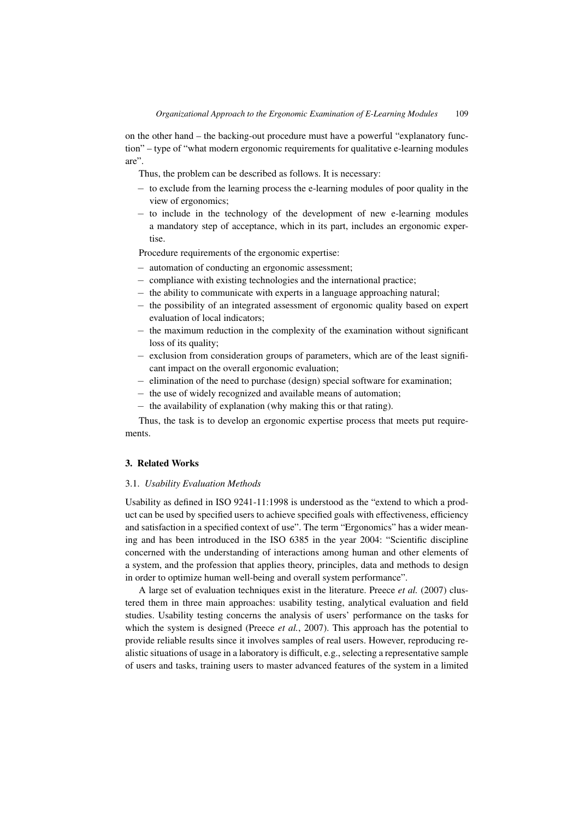on the other hand – the backing-out procedure must have a powerful "explanatory function" – type of "what modern ergonomic requirements for qualitative e-learning modules are".

Thus, the problem can be described as follows. It is necessary:

- − to exclude from the learning process the e-learning modules of poor quality in the view of ergonomics;
- − to include in the technology of the development of new e-learning modules a mandatory step of acceptance, which in its part, includes an ergonomic expertise.

Procedure requirements of the ergonomic expertise:

- − automation of conducting an ergonomic assessment;
- − compliance with existing technologies and the international practice;
- − the ability to communicate with experts in a language approaching natural;
- − the possibility of an integrated assessment of ergonomic quality based on expert evaluation of local indicators;
- − the maximum reduction in the complexity of the examination without significant loss of its quality;
- − exclusion from consideration groups of parameters, which are of the least significant impact on the overall ergonomic evaluation;
- elimination of the need to purchase (design) special software for examination;
- − the use of widely recognized and available means of automation;
- − the availability of explanation (why making this or that rating).

Thus, the task is to develop an ergonomic expertise process that meets put requirements.

#### **3. Related Works**

#### 3.1. *Usability Evaluation Methods*

Usability as defined in ISO 9241-11:1998 is understood as the "extend to which a product can be used by specified users to achieve specified goals with effectiveness, efficiency and satisfaction in a specified context of use". The term "Ergonomics" has a wider meaning and has been introduced in the ISO 6385 in the year 2004: "Scientific discipline concerned with the understanding of interactions among human and other elements of a system, and the profession that applies theory, principles, data and methods to design in order to optimize human well-being and overall system performance".

A large set of evaluation techniques exist in the literature. Preece *et al.* (2007) clustered them in three main approaches: usability testing, analytical evaluation and field studies. Usability testing concerns the analysis of users' performance on the tasks for which the system is designed (Preece *et al.*, 2007). This approach has the potential to provide reliable results since it involves samples of real users. However, reproducing realistic situations of usage in a laboratory is difficult, e.g., selecting a representative sample of users and tasks, training users to master advanced features of the system in a limited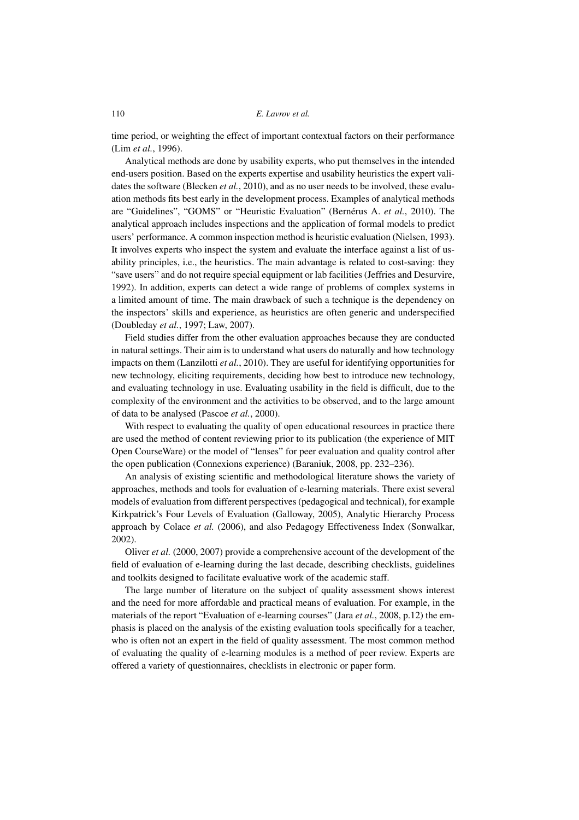time period, or weighting the effect of important contextual factors on their performance (Lim *et al.*, 1996).

Analytical methods are done by usability experts, who put themselves in the intended end-users position. Based on the experts expertise and usability heuristics the expert validates the software (Blecken *et al.*, 2010), and as no user needs to be involved, these evaluation methods fits best early in the development process. Examples of analytical methods are "Guidelines", "GOMS" or "Heuristic Evaluation" (Bernérus A. *et al.*, 2010). The analytical approach includes inspections and the application of formal models to predict users' performance. A common inspection method is heuristic evaluation (Nielsen, 1993). It involves experts who inspect the system and evaluate the interface against a list of usability principles, i.e., the heuristics. The main advantage is related to cost-saving: they "save users" and do not require special equipment or lab facilities (Jeffries and Desurvire, 1992). In addition, experts can detect a wide range of problems of complex systems in a limited amount of time. The main drawback of such a technique is the dependency on the inspectors' skills and experience, as heuristics are often generic and underspecified (Doubleday *et al.*, 1997; Law, 2007).

Field studies differ from the other evaluation approaches because they are conducted in natural settings. Their aim is to understand what users do naturally and how technology impacts on them (Lanzilotti *et al.*, 2010). They are useful for identifying opportunities for new technology, eliciting requirements, deciding how best to introduce new technology, and evaluating technology in use. Evaluating usability in the field is difficult, due to the complexity of the environment and the activities to be observed, and to the large amount of data to be analysed (Pascoe *et al.*, 2000).

With respect to evaluating the quality of open educational resources in practice there are used the method of content reviewing prior to its publication (the experience of MIT Open CourseWare) or the model of "lenses" for peer evaluation and quality control after the open publication (Connexions experience) (Baraniuk, 2008, pp. 232–236).

An analysis of existing scientific and methodological literature shows the variety of approaches, methods and tools for evaluation of e-learning materials. There exist several models of evaluation from different perspectives (pedagogical and technical), for example Kirkpatrick's Four Levels of Evaluation (Galloway, 2005), Analytic Hierarchy Process approach by Colace *et al.* (2006), and also Pedagogy Effectiveness Index (Sonwalkar, 2002).

Oliver *et al.* (2000, 2007) provide a comprehensive account of the development of the field of evaluation of e-learning during the last decade, describing checklists, guidelines and toolkits designed to facilitate evaluative work of the academic staff.

The large number of literature on the subject of quality assessment shows interest and the need for more affordable and practical means of evaluation. For example, in the materials of the report "Evaluation of e-learning courses" (Jara *et al.*, 2008, p.12) the emphasis is placed on the analysis of the existing evaluation tools specifically for a teacher, who is often not an expert in the field of quality assessment. The most common method of evaluating the quality of e-learning modules is a method of peer review. Experts are offered a variety of questionnaires, checklists in electronic or paper form.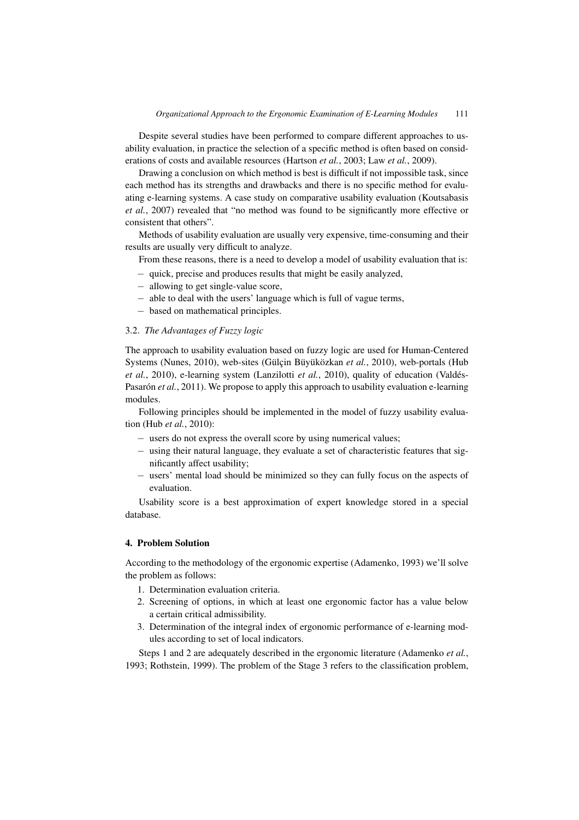Despite several studies have been performed to compare different approaches to usability evaluation, in practice the selection of a specific method is often based on considerations of costs and available resources (Hartson *et al.*, 2003; Law *et al.*, 2009).

Drawing a conclusion on which method is best is difficult if not impossible task, since each method has its strengths and drawbacks and there is no specific method for evaluating e-learning systems. A case study on comparative usability evaluation (Koutsabasis *et al.*, 2007) revealed that "no method was found to be significantly more effective or consistent that others".

Methods of usability evaluation are usually very expensive, time-consuming and their results are usually very difficult to analyze.

From these reasons, there is a need to develop a model of usability evaluation that is:

- − quick, precise and produces results that might be easily analyzed,
- − allowing to get single-value score,
- − able to deal with the users' language which is full of vague terms,
- − based on mathematical principles.

#### 3.2. *The Advantages of Fuzzy logic*

The approach to usability evaluation based on fuzzy logic are used for Human-Centered Systems (Nunes, 2010), web-sites (Gülçin Büyüközkan *et al.*, 2010), web-portals (Hub *et al.*, 2010), e-learning system (Lanzilotti *et al.*, 2010), quality of education (Valdés-Pasarón *et al.*, 2011). We propose to apply this approach to usability evaluation e-learning modules.

Following principles should be implemented in the model of fuzzy usability evaluation (Hub *et al.*, 2010):

- − users do not express the overall score by using numerical values;
- − using their natural language, they evaluate a set of characteristic features that significantly affect usability;
- − users' mental load should be minimized so they can fully focus on the aspects of evaluation.

Usability score is a best approximation of expert knowledge stored in a special database.

#### **4. Problem Solution**

According to the methodology of the ergonomic expertise (Adamenko, 1993) we'll solve the problem as follows:

- 1. Determination evaluation criteria.
- 2. Screening of options, in which at least one ergonomic factor has a value below a certain critical admissibility.
- 3. Determination of the integral index of ergonomic performance of e-learning modules according to set of local indicators.

Steps 1 and 2 are adequately described in the ergonomic literature (Adamenko *et al.*, 1993; Rothstein, 1999). The problem of the Stage 3 refers to the classification problem,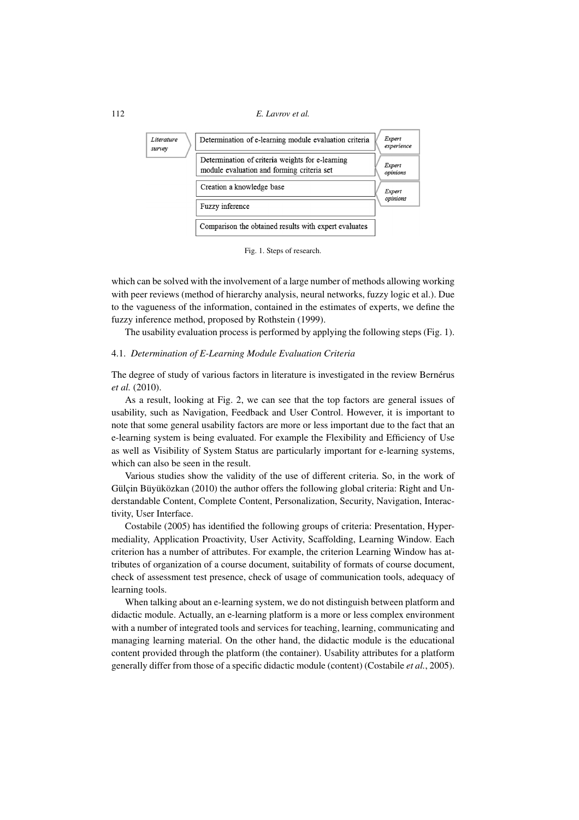

Fig. 1. Steps of research.

which can be solved with the involvement of a large number of methods allowing working with peer reviews (method of hierarchy analysis, neural networks, fuzzy logic et al.). Due to the vagueness of the information, contained in the estimates of experts, we define the fuzzy inference method, proposed by Rothstein (1999).

The usability evaluation process is performed by applying the following steps (Fig. 1).

#### 4.1. *Determination of E-Learning Module Evaluation Criteria*

The degree of study of various factors in literature is investigated in the review Bernérus *et al.* (2010).

As a result, looking at Fig. 2, we can see that the top factors are general issues of usability, such as Navigation, Feedback and User Control. However, it is important to note that some general usability factors are more or less important due to the fact that an e-learning system is being evaluated. For example the Flexibility and Efficiency of Use as well as Visibility of System Status are particularly important for e-learning systems, which can also be seen in the result.

Various studies show the validity of the use of different criteria. So, in the work of Gülçin Büyüközkan (2010) the author offers the following global criteria: Right and Understandable Content, Complete Content, Personalization, Security, Navigation, Interactivity, User Interface.

Costabile (2005) has identified the following groups of criteria: Presentation, Hypermediality, Application Proactivity, User Activity, Scaffolding, Learning Window. Each criterion has a number of attributes. For example, the criterion Learning Window has attributes of organization of a course document, suitability of formats of course document, check of assessment test presence, check of usage of communication tools, adequacy of learning tools.

When talking about an e-learning system, we do not distinguish between platform and didactic module. Actually, an e-learning platform is a more or less complex environment with a number of integrated tools and services for teaching, learning, communicating and managing learning material. On the other hand, the didactic module is the educational content provided through the platform (the container). Usability attributes for a platform generally differ from those of a specific didactic module (content) (Costabile *et al.*, 2005).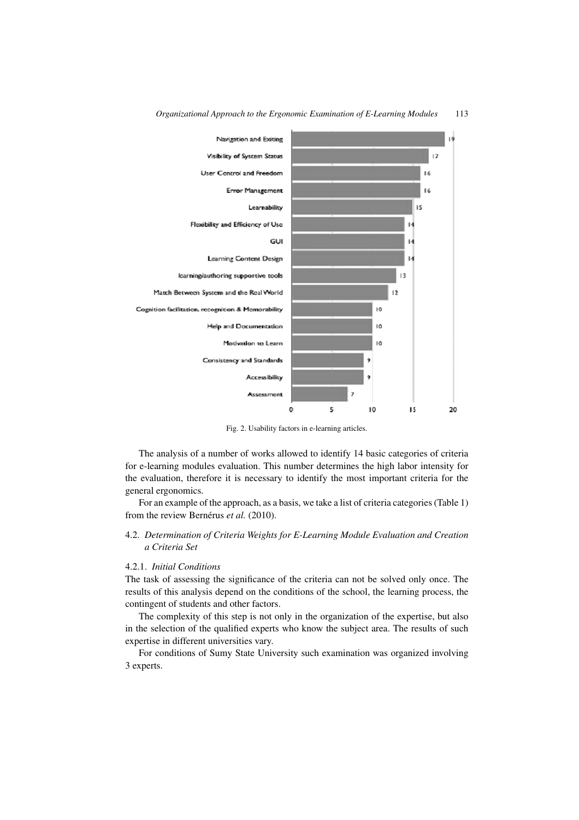

*Organizational Approach to the Ergonomic Examination of E-Learning Modules* 113

Fig. 2. Usability factors in e-learning articles.

The analysis of a number of works allowed to identify 14 basic categories of criteria for e-learning modules evaluation. This number determines the high labor intensity for the evaluation, therefore it is necessary to identify the most important criteria for the general ergonomics.

For an example of the approach, as a basis, we take a list of criteria categories (Table 1) from the review Bernérus *et al.* (2010).

### 4.2. *Determination of Criteria Weights for E-Learning Module Evaluation and Creation a Criteria Set*

#### 4.2.1. *Initial Conditions*

The task of assessing the significance of the criteria can not be solved only once. The results of this analysis depend on the conditions of the school, the learning process, the contingent of students and other factors.

The complexity of this step is not only in the organization of the expertise, but also in the selection of the qualified experts who know the subject area. The results of such expertise in different universities vary.

For conditions of Sumy State University such examination was organized involving 3 experts.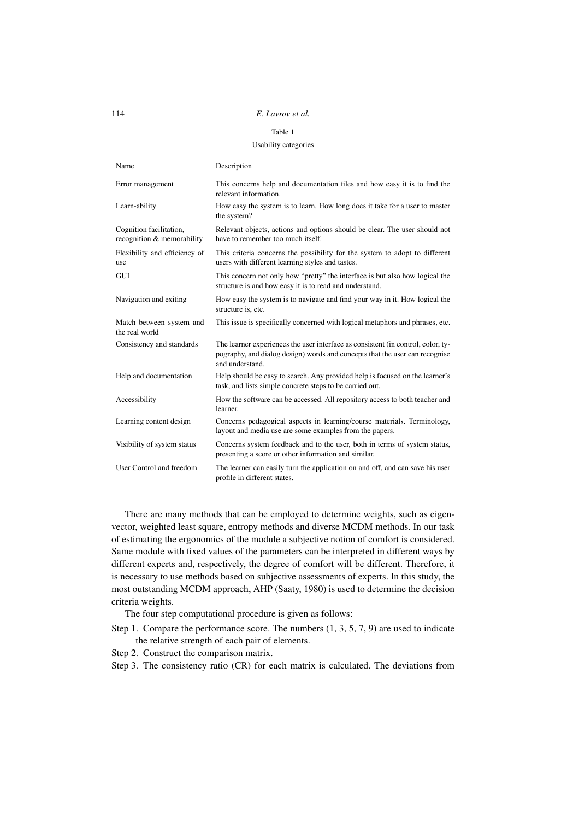#### Table 1

Usability categories

| Name                                                  | Description                                                                                                                                                                        |
|-------------------------------------------------------|------------------------------------------------------------------------------------------------------------------------------------------------------------------------------------|
| Error management                                      | This concerns help and documentation files and how easy it is to find the<br>relevant information.                                                                                 |
| Learn-ability                                         | How easy the system is to learn. How long does it take for a user to master<br>the system?                                                                                         |
| Cognition facilitation,<br>recognition & memorability | Relevant objects, actions and options should be clear. The user should not<br>have to remember too much itself.                                                                    |
| Flexibility and efficiency of<br>use                  | This criteria concerns the possibility for the system to adopt to different<br>users with different learning styles and tastes.                                                    |
| GUI                                                   | This concern not only how "pretty" the interface is but also how logical the<br>structure is and how easy it is to read and understand.                                            |
| Navigation and exiting                                | How easy the system is to navigate and find your way in it. How logical the<br>structure is, etc.                                                                                  |
| Match between system and<br>the real world            | This issue is specifically concerned with logical metaphors and phrases, etc.                                                                                                      |
| Consistency and standards                             | The learner experiences the user interface as consistent (in control, color, ty-<br>pography, and dialog design) words and concepts that the user can recognise<br>and understand. |
| Help and documentation                                | Help should be easy to search. Any provided help is focused on the learner's<br>task, and lists simple concrete steps to be carried out.                                           |
| Accessibility                                         | How the software can be accessed. All repository access to both teacher and<br>learner.                                                                                            |
| Learning content design                               | Concerns pedagogical aspects in learning/course materials. Terminology,<br>layout and media use are some examples from the papers.                                                 |
| Visibility of system status                           | Concerns system feedback and to the user, both in terms of system status,<br>presenting a score or other information and similar.                                                  |
| User Control and freedom                              | The learner can easily turn the application on and off, and can save his user<br>profile in different states.                                                                      |

There are many methods that can be employed to determine weights, such as eigenvector, weighted least square, entropy methods and diverse MCDM methods. In our task of estimating the ergonomics of the module a subjective notion of comfort is considered. Same module with fixed values of the parameters can be interpreted in different ways by different experts and, respectively, the degree of comfort will be different. Therefore, it is necessary to use methods based on subjective assessments of experts. In this study, the most outstanding MCDM approach, AHP (Saaty, 1980) is used to determine the decision criteria weights.

The four step computational procedure is given as follows:

- Step 1. Compare the performance score. The numbers  $(1, 3, 5, 7, 9)$  are used to indicate the relative strength of each pair of elements.
- Step 2. Construct the comparison matrix.

Step 3. The consistency ratio (CR) for each matrix is calculated. The deviations from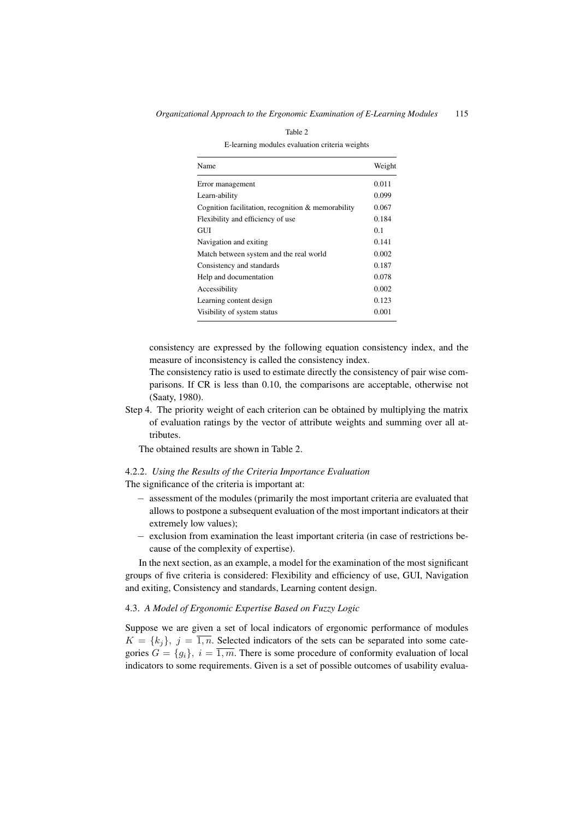| Name                                               | Weight |
|----------------------------------------------------|--------|
| Error management                                   | 0.011  |
| Learn-ability                                      | 0.099  |
| Cognition facilitation, recognition & memorability | 0.067  |
| Flexibility and efficiency of use                  | 0.184  |
| <b>GUI</b>                                         | 0.1    |
| Navigation and exiting                             | 0.141  |
| Match between system and the real world            | 0.002  |
| Consistency and standards                          | 0.187  |
| Help and documentation                             | 0.078  |
| Accessibility                                      | 0.002  |
| Learning content design                            | 0.123  |
| Visibility of system status                        | 0.001  |

Table 2 E-learning modules evaluation criteria weights

consistency are expressed by the following equation consistency index, and the measure of inconsistency is called the consistency index.

The consistency ratio is used to estimate directly the consistency of pair wise comparisons. If CR is less than 0.10, the comparisons are acceptable, otherwise not (Saaty, 1980).

Step 4. The priority weight of each criterion can be obtained by multiplying the matrix of evaluation ratings by the vector of attribute weights and summing over all attributes.

The obtained results are shown in Table 2.

#### 4.2.2. *Using the Results of the Criteria Importance Evaluation*

The significance of the criteria is important at:

- − assessment of the modules (primarily the most important criteria are evaluated that allows to postpone a subsequent evaluation of the most important indicators at their extremely low values);
- − exclusion from examination the least important criteria (in case of restrictions because of the complexity of expertise).

In the next section, as an example, a model for the examination of the most significant groups of five criteria is considered: Flexibility and efficiency of use, GUI, Navigation and exiting, Consistency and standards, Learning content design.

#### 4.3. *A Model of Ergonomic Expertise Based on Fuzzy Logic*

Suppose we are given a set of local indicators of ergonomic performance of modules  $K = \{k_j\}, j = \overline{1, n}$ . Selected indicators of the sets can be separated into some categories  $G = \{g_i\}, i = \overline{1,m}$ . There is some procedure of conformity evaluation of local indicators to some requirements. Given is a set of possible outcomes of usability evalua-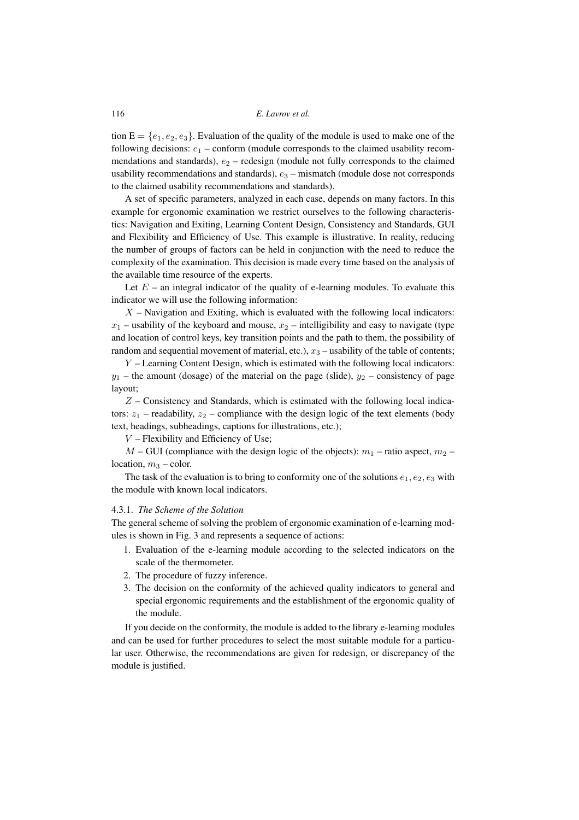tion  $E = \{e_1, e_2, e_3\}$ . Evaluation of the quality of the module is used to make one of the following decisions:  $e_1$  – conform (module corresponds to the claimed usability recommendations and standards),  $e_2$  – redesign (module not fully corresponds to the claimed usability recommendations and standards),  $e_3$  – mismatch (module dose not corresponds to the claimed usability recommendations and standards).

A set of specific parameters, analyzed in each case, depends on many factors. In this example for ergonomic examination we restrict ourselves to the following characteristics: Navigation and Exiting, Learning Content Design, Consistency and Standards, GUI and Flexibility and Efficiency of Use. This example is illustrative. In reality, reducing the number of groups of factors can be held in conjunction with the need to reduce the complexity of the examination. This decision is made every time based on the analysis of the available time resource of the experts.

Let  $E$  – an integral indicator of the quality of e-learning modules. To evaluate this indicator we will use the following information:

 $X$  – Navigation and Exiting, which is evaluated with the following local indicators:  $x_1$  – usability of the keyboard and mouse,  $x_2$  – intelligibility and easy to navigate (type and location of control keys, key transition points and the path to them, the possibility of random and sequential movement of material, etc.),  $x_3$  – usability of the table of contents;

Y – Learning Content Design, which is estimated with the following local indicators:  $y_1$  – the amount (dosage) of the material on the page (slide),  $y_2$  – consistency of page layout;

 $Z$  – Consistency and Standards, which is estimated with the following local indicators:  $z_1$  – readability,  $z_2$  – compliance with the design logic of the text elements (body text, headings, subheadings, captions for illustrations, etc.);

 $V$  – Flexibility and Efficiency of Use;

 $M$  – GUI (compliance with the design logic of the objects):  $m_1$  – ratio aspect,  $m_2$  – location,  $m_3$  – color.

The task of the evaluation is to bring to conformity one of the solutions  $e_1, e_2, e_3$  with the module with known local indicators.

#### 4.3.1. *The Scheme of the Solution*

The general scheme of solving the problem of ergonomic examination of e-learning modules is shown in Fig. 3 and represents a sequence of actions:

- 1. Evaluation of the e-learning module according to the selected indicators on the scale of the thermometer.
- 2. The procedure of fuzzy inference.
- 3. The decision on the conformity of the achieved quality indicators to general and special ergonomic requirements and the establishment of the ergonomic quality of the module.

If you decide on the conformity, the module is added to the library e-learning modules and can be used for further procedures to select the most suitable module for a particular user. Otherwise, the recommendations are given for redesign, or discrepancy of the module is justified.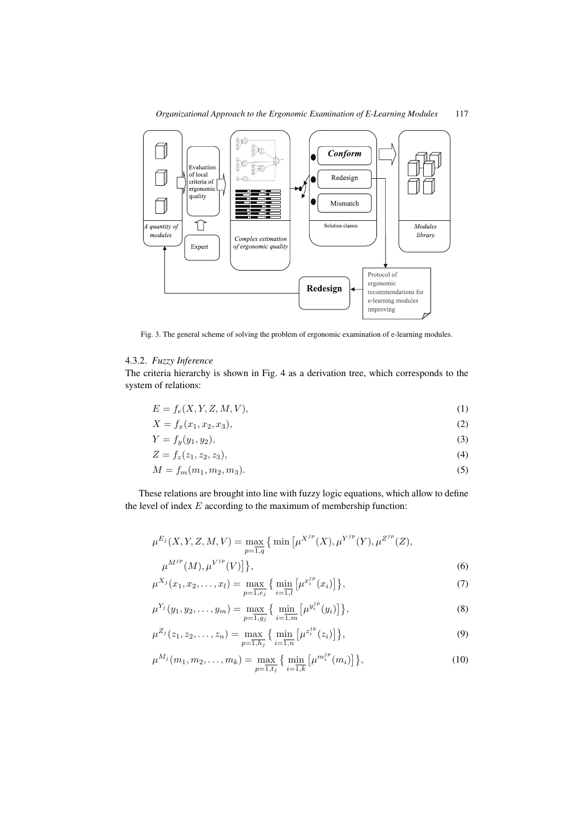

Fig. 3. The general scheme of solving the problem of ergonomic examination of e-learning modules.

# 4.3.2. *Fuzzy Inference*

The criteria hierarchy is shown in Fig. 4 as a derivation tree, which corresponds to the system of relations:

$$
E = f_e(X, Y, Z, M, V),\tag{1}
$$

$$
X = f_x(x_1, x_2, x_3),
$$
 (2)

$$
Y = f_y(y_1, y_2),\tag{3}
$$

$$
Z = f_z(z_1, z_2, z_3), \tag{4}
$$

$$
M = f_m(m_1, m_2, m_3). \tag{5}
$$

These relations are brought into line with fuzzy logic equations, which allow to define the level of index  $E$  according to the maximum of membership function:

$$
\mu^{E_j}(X, Y, Z, M, V) = \max_{p=\overline{1,q}} \{ \min \left[ \mu^{X^{jp}}(X), \mu^{Y^{jp}}(Y), \mu^{Z^{jp}}(Z), \mu^{M^{jp}}(M), \mu^{V^{jp}}(V) \right] \},
$$
\n(6)

$$
\mu^{X_j}(x_1, x_2, \dots, x_l) = \max_{p=1, e_j} \left\{ \min_{i=1, l} \left[ \mu^{x_i^{jp}}(x_i) \right] \right\},\tag{7}
$$

$$
\mu^{Y_j}(y_1, y_2, \dots, y_m) = \max_{p=1, g_j} \left\{ \min_{i=1, m} \left[ \mu^{y_i^{jp}}(y_i) \right] \right\},\tag{8}
$$

$$
\mu^{Z_j}(z_1, z_2, \dots, z_n) = \max_{p=\overline{1,h_j}} \left\{ \min_{i=\overline{1,n}} \left[ \mu^{z_i^{jp}}(z_i) \right] \right\},\tag{9}
$$

$$
\mu^{M_j}(m_1, m_2, \dots, m_k) = \max_{p=1, t_j} \left\{ \min_{i=1, k} \left[ \mu^{m_i^{jp}}(m_i) \right] \right\},\tag{10}
$$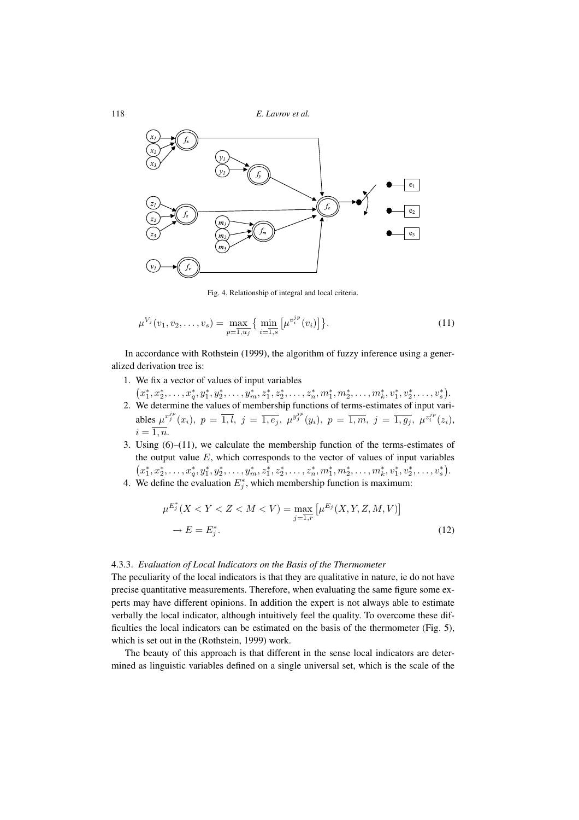118 *E. Lavrov et al.*



Fig. 4. Relationship of integral and local criteria.

$$
\mu^{V_j}(v_1, v_2, \dots, v_s) = \max_{p=1, u_j} \left\{ \min_{i=1, s} \left[ \mu^{v_i^{jp}}(v_i) \right] \right\}.
$$
\n(11)

In accordance with Rothstein (1999), the algorithm of fuzzy inference using a generalized derivation tree is:

- 1. We fix a vector of values of input variables
- $(x_1^*, x_2^*, \ldots, x_q^*, y_1^*, y_2^*, \ldots, y_m^*, z_1^*, z_2^*, \ldots, z_n^*, m_1^*, m_2^*, \ldots, m_k^*, v_1^*, v_2^*, \ldots, v_s^*).$ 2. We determine the values of membership functions of terms-estimates of input variables  $\mu^{x_j^{jp}}(x_i)$ ,  $p = \overline{1,l}$ ,  $j = \overline{1,e_j}$ ,  $\mu^{y_j^{jp}}(y_i)$ ,  $p = \overline{1,m}$ ,  $j = \overline{1,g_j}$ ,  $\mu^{z_i^{jp}}(z_i)$ ,  $i = \overline{1, n}.$
- 3. Using  $(6)$ – $(11)$ , we calculate the membership function of the terms-estimates of the output value  $E$ , which corresponds to the vector of values of input variables  $(x_1^*, x_2^*, \ldots, x_q^*, y_1^*, y_2^*, \ldots, y_m^*, z_1^*, z_2^*, \ldots, z_n^*, m_1^*, m_2^*, \ldots, m_k^*, v_1^*, v_2^*, \ldots, v_s^*).$
- 4. We define the evaluation  $E_j^*$ , which membership function is maximum:

$$
\mu^{E_j^*}(X < Y < Z < M < V) = \max_{j=1,r} \left[ \mu^{E_j}(X, Y, Z, M, V) \right] \\
\to E = E_j^*.\n \tag{12}
$$

#### 4.3.3. *Evaluation of Local Indicators on the Basis of the Thermometer*

The peculiarity of the local indicators is that they are qualitative in nature, ie do not have precise quantitative measurements. Therefore, when evaluating the same figure some experts may have different opinions. In addition the expert is not always able to estimate verbally the local indicator, although intuitively feel the quality. To overcome these difficulties the local indicators can be estimated on the basis of the thermometer (Fig. 5), which is set out in the (Rothstein, 1999) work.

The beauty of this approach is that different in the sense local indicators are determined as linguistic variables defined on a single universal set, which is the scale of the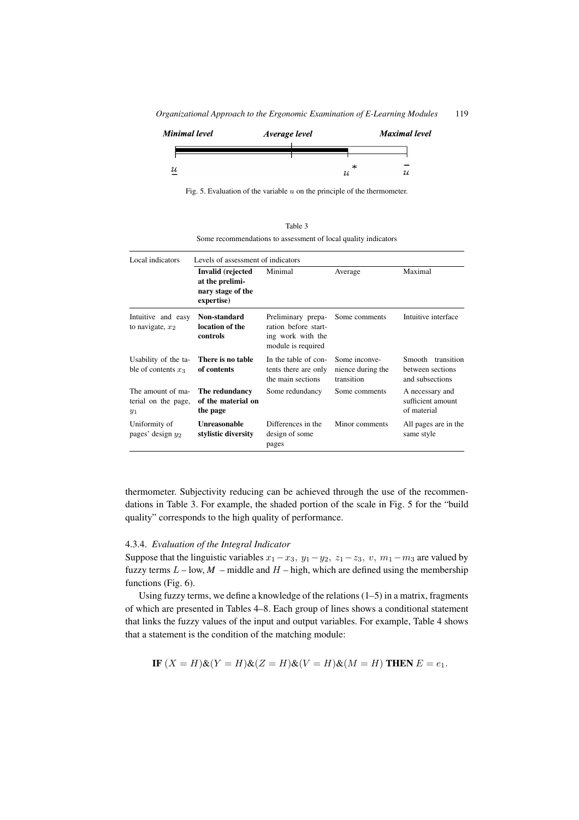*Organizational Approach to the Ergonomic Examination of E-Learning Modules* 119



Fig. 5. Evaluation of the variable  $u$  on the principle of the thermometer.

Table 3 Some recommendations to assessment of local quality indicators

| Local indicators                                  | Levels of assessment of indicators                                      |                                                                                       |                                                  |                                                             |  |
|---------------------------------------------------|-------------------------------------------------------------------------|---------------------------------------------------------------------------------------|--------------------------------------------------|-------------------------------------------------------------|--|
|                                                   | Invalid (rejected<br>at the prelimi-<br>nary stage of the<br>expertise) | Minimal                                                                               | Average                                          | Maximal                                                     |  |
| Intuitive and easy<br>to navigate, $x_2$          | Non-standard<br>location of the<br>controls                             | Preliminary prepa-<br>ration before start-<br>ing work with the<br>module is required | Some comments                                    | Intuitive interface                                         |  |
| Usability of the ta-<br>ble of contents $x_3$     | There is no table<br>of contents                                        | In the table of con-<br>tents there are only<br>the main sections                     | Some inconve-<br>nience during the<br>transition | Smooth<br>transition<br>between sections<br>and subsections |  |
| The amount of ma-<br>terial on the page,<br>$y_1$ | The redundancy<br>of the material on<br>the page                        | Some redundancy                                                                       | Some comments                                    | A necessary and<br>sufficient amount<br>of material         |  |
| Uniformity of<br>pages' design $y_2$              | <b>Unreasonable</b><br>stylistic diversity                              | Differences in the<br>design of some<br>pages                                         | Minor comments                                   | All pages are in the<br>same style                          |  |

thermometer. Subjectivity reducing can be achieved through the use of the recommendations in Table 3. For example, the shaded portion of the scale in Fig. 5 for the "build quality" corresponds to the high quality of performance.

### 4.3.4. *Evaluation of the Integral Indicator*

Suppose that the linguistic variables  $x_1-x_3$ ,  $y_1-y_2$ ,  $z_1-z_3$ , v,  $m_1-m_3$  are valued by fuzzy terms  $L$  – low,  $M$  – middle and  $H$  – high, which are defined using the membership functions (Fig. 6).

Using fuzzy terms, we define a knowledge of the relations (1–5) in a matrix, fragments of which are presented in Tables 4–8. Each group of lines shows a conditional statement that links the fuzzy values of the input and output variables. For example, Table 4 shows that a statement is the condition of the matching module:

IF 
$$
(X = H)
$$
& $(Y = H)$ & $(Z = H)$ & $(V = H)$ & $(M = H)$  **THEN**  $E = e_1$ .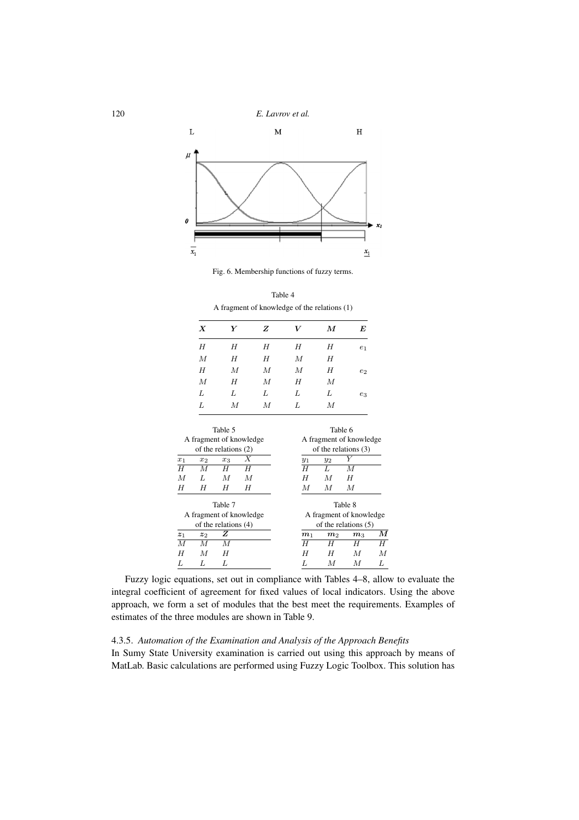

Fig. 6. Membership functions of fuzzy terms.

Table 4 A fragment of knowledge of the relations (1)

| Y | Z                | V | М | E              |
|---|------------------|---|---|----------------|
| Н | Н                | Н | Η | e <sub>1</sub> |
| Н | Н                | М | H |                |
| М | М                | М | Н | $e_2$          |
| Н | $\boldsymbol{M}$ | Н | М |                |
| L | L                | L | L | $^{e_3}$       |
| М | М                | L | М |                |
|   |                  |   |   |                |

| Table 5<br>A fragment of knowledge<br>of the relations $(2)$ |       |                         |   | Table 6        | A fragment of knowledge<br>of the relations $(3)$ |                        |    |
|--------------------------------------------------------------|-------|-------------------------|---|----------------|---------------------------------------------------|------------------------|----|
| $x_1$                                                        | $x_2$ | $x_3$                   |   | $y_1$          | $y_2$                                             |                        |    |
| H                                                            | M     | H                       | Η | $\overline{H}$ | Τ.                                                | M                      |    |
| M                                                            | L     | М                       | М | H              | М                                                 | H                      |    |
| H                                                            | H     | H                       | Η | М              | М                                                 | М                      |    |
|                                                              |       | Table 7                 |   |                |                                                   | Table 8                |    |
| A fragment of knowledge                                      |       | A fragment of knowledge |   |                |                                                   |                        |    |
|                                                              |       | of the relations $(4)$  |   |                |                                                   | of the relations $(5)$ |    |
| $\boldsymbol{z}_1$                                           | $z_2$ | z                       |   | m <sub>1</sub> | m <sub>2</sub>                                    | m <sub>3</sub>         | М  |
| $\overline{M}$                                               | М     | М                       |   | H              | Н                                                 | Η                      | Η  |
| H                                                            | M     | H                       |   | Η              | H                                                 | М                      | М  |
| L                                                            |       | Τ.                      |   | Τ.             | M                                                 | М                      | Τ. |

Fuzzy logic equations, set out in compliance with Tables 4–8, allow to evaluate the integral coefficient of agreement for fixed values of local indicators. Using the above approach, we form a set of modules that the best meet the requirements. Examples of estimates of the three modules are shown in Table 9.

### 4.3.5. *Automation of the Examination and Analysis of the Approach Benefits*

In Sumy State University examination is carried out using this approach by means of MatLab. Basic calculations are performed using Fuzzy Logic Toolbox. This solution has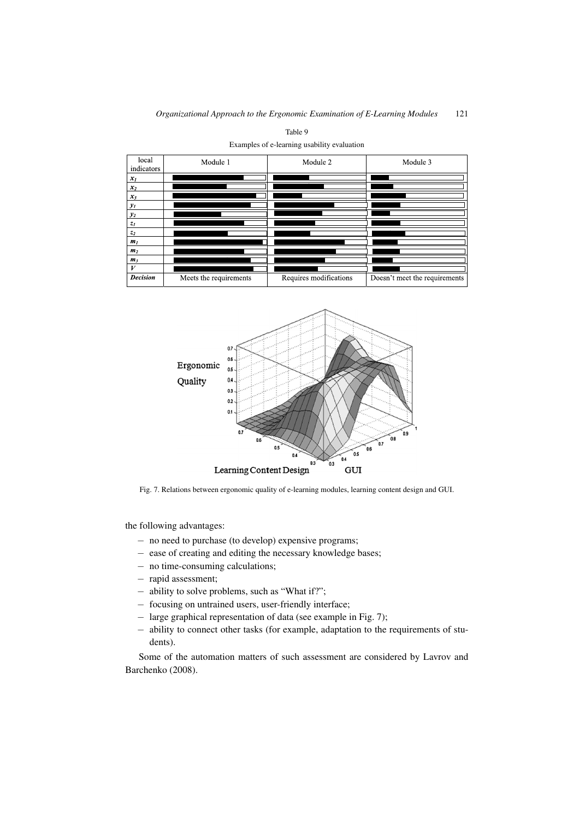| local<br>indicators | Module 1               | Module 2               | Module 3                      |
|---------------------|------------------------|------------------------|-------------------------------|
| $x_I$               |                        |                        |                               |
| $x_2$               |                        |                        |                               |
| $x_3$               |                        |                        |                               |
| $y_I$               |                        |                        |                               |
| $y_2$               |                        |                        |                               |
| $z_I$               |                        |                        |                               |
| z <sub>2</sub>      |                        |                        |                               |
| m <sub>1</sub>      |                        |                        |                               |
| m <sub>2</sub>      |                        |                        |                               |
| m <sub>3</sub>      |                        |                        |                               |
| V                   |                        |                        |                               |
| <b>Decision</b>     | Meets the requirements | Requires modifications | Doesn't meet the requirements |

Table 9 Examples of e-learning usability evaluation



Fig. 7. Relations between ergonomic quality of e-learning modules, learning content design and GUI.

the following advantages:

- − no need to purchase (to develop) expensive programs;
- − ease of creating and editing the necessary knowledge bases;
- − no time-consuming calculations;
- − rapid assessment;
- − ability to solve problems, such as "What if?";
- − focusing on untrained users, user-friendly interface;
- − large graphical representation of data (see example in Fig. 7);
- − ability to connect other tasks (for example, adaptation to the requirements of students).

Some of the automation matters of such assessment are considered by Lavrov and Barchenko (2008).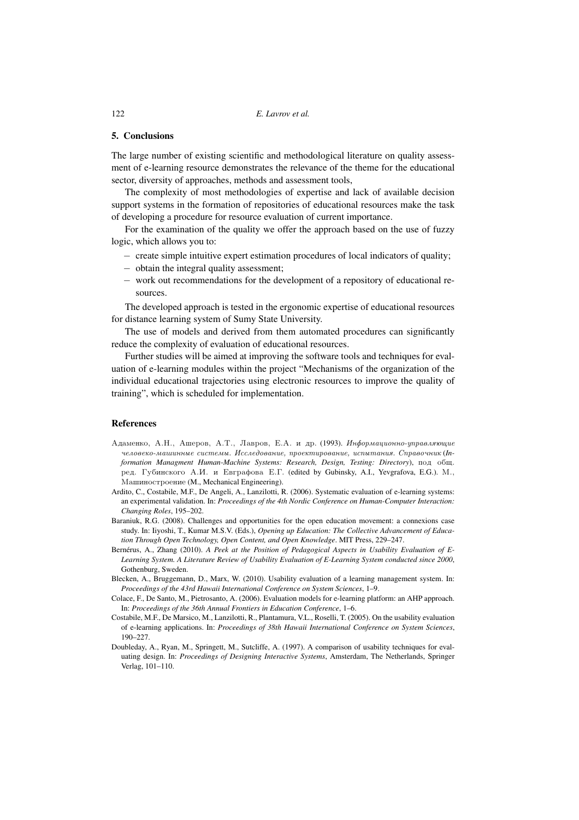#### **5. Conclusions**

The large number of existing scientific and methodological literature on quality assessment of e-learning resource demonstrates the relevance of the theme for the educational sector, diversity of approaches, methods and assessment tools,

The complexity of most methodologies of expertise and lack of available decision support systems in the formation of repositories of educational resources make the task of developing a procedure for resource evaluation of current importance.

For the examination of the quality we offer the approach based on the use of fuzzy logic, which allows you to:

- − create simple intuitive expert estimation procedures of local indicators of quality;
- − obtain the integral quality assessment;
- − work out recommendations for the development of a repository of educational resources.

The developed approach is tested in the ergonomic expertise of educational resources for distance learning system of Sumy State University.

The use of models and derived from them automated procedures can significantly reduce the complexity of evaluation of educational resources.

Further studies will be aimed at improving the software tools and techniques for evaluation of e-learning modules within the project "Mechanisms of the organization of the individual educational trajectories using electronic resources to improve the quality of training", which is scheduled for implementation.

#### **References**

- Адаменко, А.Н., Ашеров, А.Т., Лавров, Е.А. и др. (1993). Информационно-управляющие человеко-машинные системы. Исследование, проектирование, испытания. Справочник (In*formation Managment Human-Machine Systems: Research, Design, Testing: Directory*),  $\pi$ o $\pi$  obw. ред. Губинского А.И. и Евграфова Е.Г. (edited by Gubinsky, A.I., Yevgrafova, E.G.). М., Машиностроение (M., Mechanical Engineering).
- Ardito, C., Costabile, M.F., De Angeli, A., Lanzilotti, R. (2006). Systematic evaluation of e-learning systems: an experimental validation. In: *Proceedings of the 4th Nordic Conference on Human-Computer Interaction: Changing Roles*, 195–202.
- Baraniuk, R.G. (2008). Challenges and opportunities for the open education movement: a connexions case study. In: Iiyoshi, T., Kumar M.S.V. (Eds.), *Opening up Education: The Collective Advancement of Education Through Open Technology, Open Content, and Open Knowledge*. MIT Press, 229–247.
- Bernérus, A., Zhang (2010). *A Peek at the Position of Pedagogical Aspects in Usability Evaluation of E-Learning System. A Literature Review of Usability Evaluation of E-Learning System conducted since 2000*, Gothenburg, Sweden.
- Blecken, A., Bruggemann, D., Marx, W. (2010). Usability evaluation of a learning management system. In: *Proceedings of the 43rd Hawaii International Conference on System Sciences*, 1–9.
- Colace, F., De Santo, M., Pietrosanto, A. (2006). Evaluation models for e-learning platform: an AHP approach. In: *Proceedings of the 36th Annual Frontiers in Education Conference*, 1–6.
- Costabile, M.F., De Marsico, M., Lanzilotti, R., Plantamura, V.L., Roselli, T. (2005). On the usability evaluation of e-learning applications. In: *Proceedings of 38th Hawaii International Conference on System Sciences*, 190–227.
- Doubleday, A., Ryan, M., Springett, M., Sutcliffe, A. (1997). A comparison of usability techniques for evaluating design. In: *Proceedings of Designing Interactive Systems*, Amsterdam, The Netherlands, Springer Verlag, 101–110.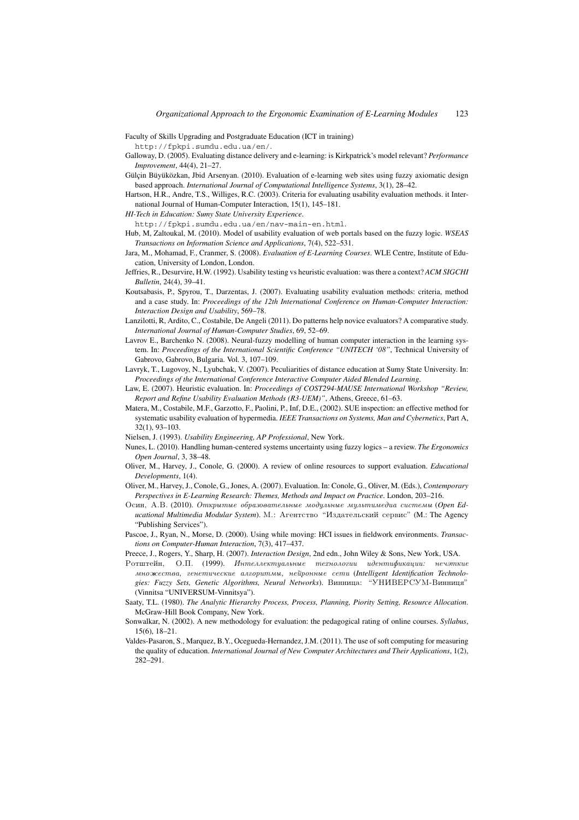Faculty of Skills Upgrading and Postgraduate Education (ICT in training)

http://fpkpi.sumdu.edu.ua/en/.

Galloway, D. (2005). Evaluating distance delivery and e-learning: is Kirkpatrick's model relevant? *Performance Improvement*, 44(4), 21–27.

- Gülçin Büyüközkan, Jbid Arsenyan. (2010). Evaluation of e-learning web sites using fuzzy axiomatic design based approach. *International Journal of Computational Intelligence Systems*, 3(1), 28–42.
- Hartson, H.R., Andre, T.S., Williges, R.C. (2003). Criteria for evaluating usability evaluation methods. it International Journal of Human-Computer Interaction, 15(1), 145–181.

*HI-Tech in Education: Sumy State University Experience*.

http://fpkpi.sumdu.edu.ua/en/nav-main-en.html.

Hub, M, Zaltoukal, M. (2010). Model of usability evaluation of web portals based on the fuzzy logic. *WSEAS Transactions on Information Science and Applications*, 7(4), 522–531.

- Jara, M., Mohamad, F., Cranmer, S. (2008). *Evaluation of E-Learning Courses*. WLE Centre, Institute of Education, University of London, London.
- Jeffries, R., Desurvire, H.W. (1992). Usability testing vs heuristic evaluation: was there a context? *ACM SIGCHI Bulletin*, 24(4), 39–41.
- Koutsabasis, P., Spyrou, T., Darzentas, J. (2007). Evaluating usability evaluation methods: criteria, method and a case study. In: *Proceedings of the 12th International Conference on Human-Computer Interaction: Interaction Design and Usability*, 569–78.
- Lanzilotti, R, Ardito, C., Costabile, De Angeli (2011). Do patterns help novice evaluators? A comparative study. *International Journal of Human-Computer Studies*, 69, 52–69.
- Lavrov E., Barchenko N. (2008). Neural-fuzzy modelling of human computer interaction in the learning system. In: *Proceedings of the International Scientific Conference "UNITECH '08"*, Technical University of Gabrovo, Gabrovo, Bulgaria. Vol. 3, 107–109.
- Lavryk, T., Lugovoy, N., Lyubchak, V. (2007). Peculiarities of distance education at Sumy State University. In: *Proceedings of the International Conference Interactive Computer Aided Blended Learning*.
- Law, E. (2007). Heuristic evaluation. In: *Proceedings of COST294-MAUSE International Workshop "Review, Report and Refine Usability Evaluation Methods (R3-UEM)"*, Athens, Greece, 61–63.
- Matera, M., Costabile, M.F., Garzotto, F., Paolini, P., Inf, D.E., (2002). SUE inspection: an effective method for systematic usability evaluation of hypermedia. *IEEE Transactions on Systems, Man and Cybernetics*, Part A, 32(1), 93–103.

Nielsen, J. (1993). *Usability Engineering, AP Professional*, New York.

- Nunes, L. (2010). Handling human-centered systems uncertainty using fuzzy logics a review. *The Ergonomics Open Journal*, 3, 38–48.
- Oliver, M., Harvey, J., Conole, G. (2000). A review of online resources to support evaluation. *Educational Developments*, 1(4).
- Oliver, M., Harvey, J., Conole, G., Jones, A. (2007). Evaluation. In: Conole, G., Oliver, M. (Eds.), *Contemporary Perspectives in E-Learning Research: Themes, Methods and Impact on Practice*. London, 203–216.
- Осин, А.В. (2010). Открытые образовательные модульные мультимедиа системы (Ореп Educational Multimedia Modular System). М.: Агентство "Издательский сервис" (М.: The Agency "Publishing Services").
- Pascoe, J., Ryan, N., Morse, D. (2000). Using while moving: HCI issues in fieldwork environments. *Transactions on Computer-Human Interaction*, 7(3), 417–437.
- Preece, J., Rogers, Y., Sharp, H. (2007). *Interaction Design*, 2nd edn., John Wiley & Sons, New York, USA.
- $P$ отштейн, О.П. (1999). Интеллектиальные технологии идентификации: нечэткие множества, генетические алгоритмы, нейронные сети (Intelligent Identification Technologies: Fuzzy Sets, Genetic Algorithms, Neural Networks). Винница: "УНИВЕРСУМ-Винниця" (Vinnitsa "UNIVERSUM-Vinnitsya").
- Saaty, T.L. (1980). *The Analytic Hierarchy Process, Process, Planning, Piority Setting, Resource Allocation*. McGraw-Hill Book Company, New York.
- Sonwalkar, N. (2002). A new methodology for evaluation: the pedagogical rating of online courses. *Syllabus*, 15(6), 18–21.
- Valdes-Pasaron, S., Marquez, B.Y., Ocegueda-Hernandez, J.M. (2011). The use of soft computing for measuring the quality of education. *International Journal of New Computer Architectures and Their Applications*, 1(2), 282–291.